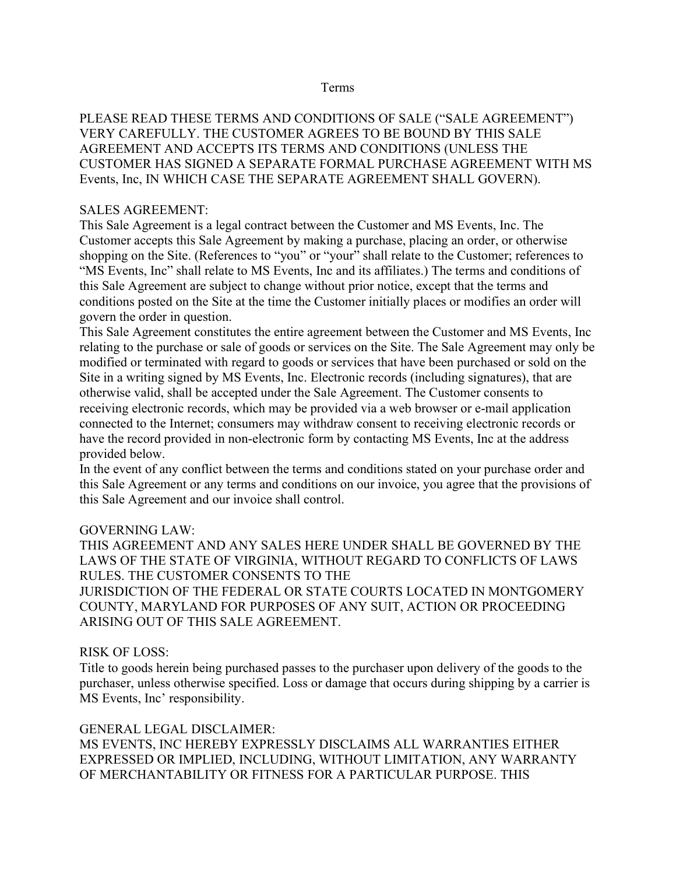#### Terms

PLEASE READ THESE TERMS AND CONDITIONS OF SALE ("SALE AGREEMENT") VERY CAREFULLY. THE CUSTOMER AGREES TO BE BOUND BY THIS SALE AGREEMENT AND ACCEPTS ITS TERMS AND CONDITIONS (UNLESS THE CUSTOMER HAS SIGNED A SEPARATE FORMAL PURCHASE AGREEMENT WITH MS Events, Inc, IN WHICH CASE THE SEPARATE AGREEMENT SHALL GOVERN).

#### SALES AGREEMENT:

This Sale Agreement is a legal contract between the Customer and MS Events, Inc. The Customer accepts this Sale Agreement by making a purchase, placing an order, or otherwise shopping on the Site. (References to "you" or "your" shall relate to the Customer; references to "MS Events, Inc" shall relate to MS Events, Inc and its affiliates.) The terms and conditions of this Sale Agreement are subject to change without prior notice, except that the terms and conditions posted on the Site at the time the Customer initially places or modifies an order will govern the order in question.

This Sale Agreement constitutes the entire agreement between the Customer and MS Events, Inc relating to the purchase or sale of goods or services on the Site. The Sale Agreement may only be modified or terminated with regard to goods or services that have been purchased or sold on the Site in a writing signed by MS Events, Inc. Electronic records (including signatures), that are otherwise valid, shall be accepted under the Sale Agreement. The Customer consents to receiving electronic records, which may be provided via a web browser or e-mail application connected to the Internet; consumers may withdraw consent to receiving electronic records or have the record provided in non-electronic form by contacting MS Events, Inc at the address provided below.

In the event of any conflict between the terms and conditions stated on your purchase order and this Sale Agreement or any terms and conditions on our invoice, you agree that the provisions of this Sale Agreement and our invoice shall control.

#### GOVERNING LAW:

THIS AGREEMENT AND ANY SALES HERE UNDER SHALL BE GOVERNED BY THE LAWS OF THE STATE OF VIRGINIA, WITHOUT REGARD TO CONFLICTS OF LAWS RULES. THE CUSTOMER CONSENTS TO THE JURISDICTION OF THE FEDERAL OR STATE COURTS LOCATED IN MONTGOMERY COUNTY, MARYLAND FOR PURPOSES OF ANY SUIT, ACTION OR PROCEEDING ARISING OUT OF THIS SALE AGREEMENT.

#### RISK OF LOSS:

Title to goods herein being purchased passes to the purchaser upon delivery of the goods to the purchaser, unless otherwise specified. Loss or damage that occurs during shipping by a carrier is MS Events, Inc' responsibility.

#### GENERAL LEGAL DISCLAIMER: MS EVENTS, INC HEREBY EXPRESSLY DISCLAIMS ALL WARRANTIES EITHER EXPRESSED OR IMPLIED, INCLUDING, WITHOUT LIMITATION, ANY WARRANTY OF MERCHANTABILITY OR FITNESS FOR A PARTICULAR PURPOSE. THIS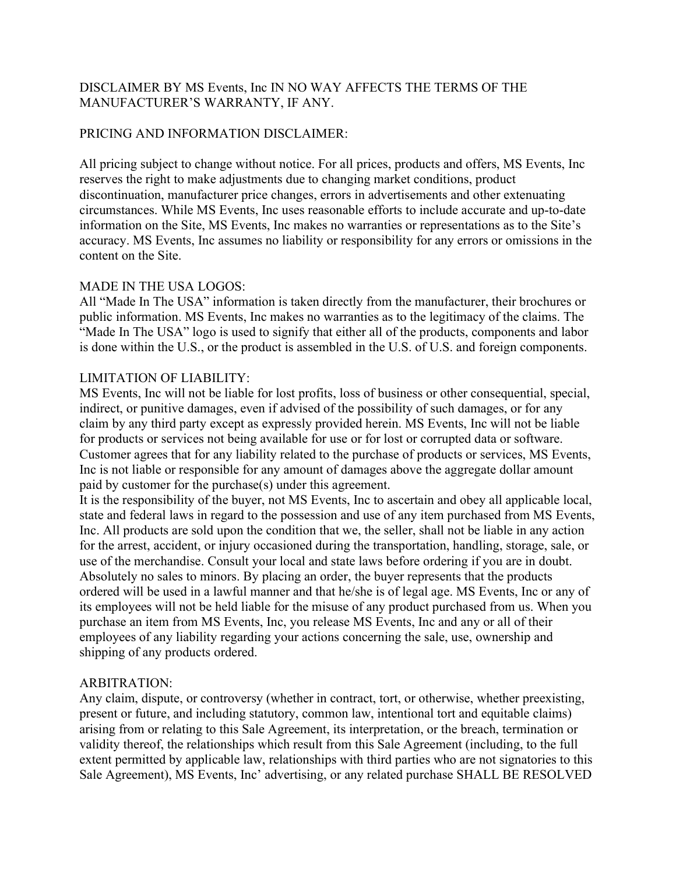### DISCLAIMER BY MS Events, Inc IN NO WAY AFFECTS THE TERMS OF THE MANUFACTURER'S WARRANTY, IF ANY.

#### PRICING AND INFORMATION DISCLAIMER:

All pricing subject to change without notice. For all prices, products and offers, MS Events, Inc reserves the right to make adjustments due to changing market conditions, product discontinuation, manufacturer price changes, errors in advertisements and other extenuating circumstances. While MS Events, Inc uses reasonable efforts to include accurate and up-to-date information on the Site, MS Events, Inc makes no warranties or representations as to the Site's accuracy. MS Events, Inc assumes no liability or responsibility for any errors or omissions in the content on the Site.

# MADE IN THE USA LOGOS:

All "Made In The USA" information is taken directly from the manufacturer, their brochures or public information. MS Events, Inc makes no warranties as to the legitimacy of the claims. The "Made In The USA" logo is used to signify that either all of the products, components and labor is done within the U.S., or the product is assembled in the U.S. of U.S. and foreign components.

### LIMITATION OF LIABILITY:

MS Events, Inc will not be liable for lost profits, loss of business or other consequential, special, indirect, or punitive damages, even if advised of the possibility of such damages, or for any claim by any third party except as expressly provided herein. MS Events, Inc will not be liable for products or services not being available for use or for lost or corrupted data or software. Customer agrees that for any liability related to the purchase of products or services, MS Events, Inc is not liable or responsible for any amount of damages above the aggregate dollar amount paid by customer for the purchase(s) under this agreement.

It is the responsibility of the buyer, not MS Events, Inc to ascertain and obey all applicable local, state and federal laws in regard to the possession and use of any item purchased from MS Events, Inc. All products are sold upon the condition that we, the seller, shall not be liable in any action for the arrest, accident, or injury occasioned during the transportation, handling, storage, sale, or use of the merchandise. Consult your local and state laws before ordering if you are in doubt. Absolutely no sales to minors. By placing an order, the buyer represents that the products ordered will be used in a lawful manner and that he/she is of legal age. MS Events, Inc or any of its employees will not be held liable for the misuse of any product purchased from us. When you purchase an item from MS Events, Inc, you release MS Events, Inc and any or all of their employees of any liability regarding your actions concerning the sale, use, ownership and shipping of any products ordered.

# ARBITRATION:

Any claim, dispute, or controversy (whether in contract, tort, or otherwise, whether preexisting, present or future, and including statutory, common law, intentional tort and equitable claims) arising from or relating to this Sale Agreement, its interpretation, or the breach, termination or validity thereof, the relationships which result from this Sale Agreement (including, to the full extent permitted by applicable law, relationships with third parties who are not signatories to this Sale Agreement), MS Events, Inc' advertising, or any related purchase SHALL BE RESOLVED